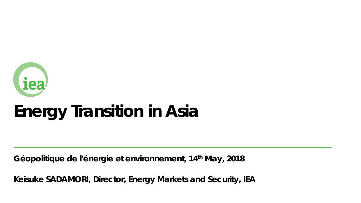

# **Energy Transition in Asia**

**Géopolitique de l'énergie et environnement, 14th May, 2018**

**Keisuke SADAMORI, Director, Energy Markets and Security, IEA**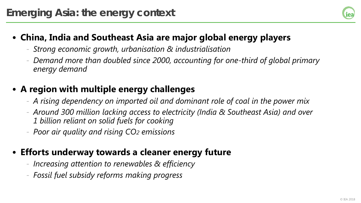

# • **China, India and Southeast Asia are major global energy players**

- *Strong economic growth, urbanisation & industrialisation*
- *Demand more than doubled since 2000, accounting for one-third of global primary energy demand*

# • **A region with multiple energy challenges**

- *A rising dependency on imported oil and dominant role of coal in the power mix*
- *Around 300 million lacking access to electricity (India & Southeast Asia) and over 1 billion reliant on solid fuels for cooking*
- *Poor air quality and rising CO2 emissions*

### • **Efforts underway towards a cleaner energy future**

- *Increasing attention to renewables & efficiency*
- *Fossil fuel subsidy reforms making progress*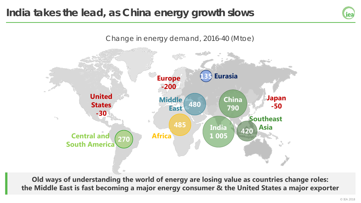### **India takes the lead, as China energy growth slows**





**Old ways of understanding the world of energy are losing value as countries change roles: the Middle East is fast becoming a major energy consumer & the United States a major exporter**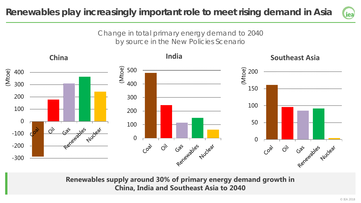#### **Renewables play increasingly important role to meet rising demand in Asia**



Change in total primary energy demand to 2040 by source in the New Policies Scenario



**Renewables supply around 30% of primary energy demand growth in China, India and Southeast Asia to 2040**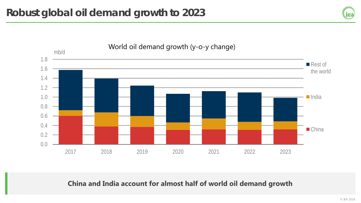



#### **China and India account for almost half of world oil demand growth**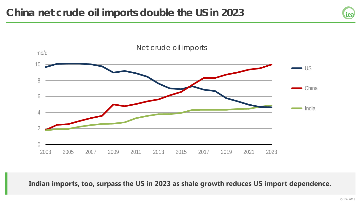



**Indian imports, too, surpass the US in 2023 as shale growth reduces US import dependence.**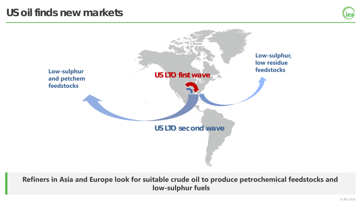#### **US oil finds new markets**





**Refiners in Asia and Europe look for suitable crude oil to produce petrochemical feedstocks and low-sulphur fuels**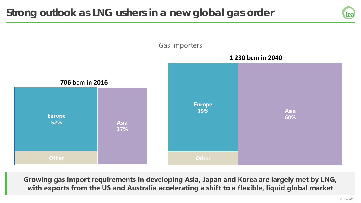

**Growing gas import requirements in developing Asia, Japan and Korea are largely met by LNG, with exports from the US and Australia accelerating a shift to a flexible, liquid global market** 

iea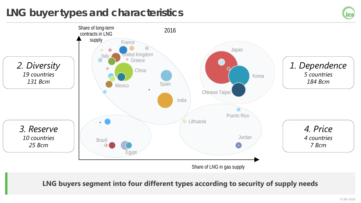# **LNG buyer types and characteristics**





**LNG buyers segment into four different types according to security of supply needs**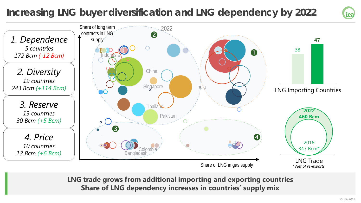# **Increasing LNG buyer diversification and LNG dependency by 2022**





**LNG trade grows from additional importing and exporting countries Share of LNG dependency increases in countries' supply mix**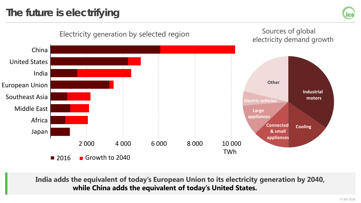# **The future is electrifying**





**India adds the equivalent of today's European Union to its electricity generation by 2040, while China adds the equivalent of today's United States.**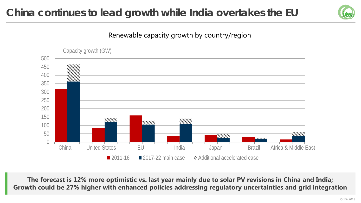# **China continues to lead growth while India overtakes the EU**







**The forecast is 12% more optimistic vs. last year mainly due to solar PV revisions in China and India; Growth could be 27% higher with enhanced policies addressing regulatory uncertainties and grid integration**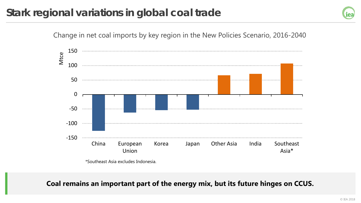#### **Stark regional variations in global coal trade**





**Coal remains an important part of the energy mix, but its future hinges on CCUS.**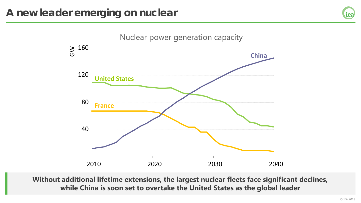



**Without additional lifetime extensions, the largest nuclear fleets face significant declines, while China is soon set to overtake the United States as the global leader**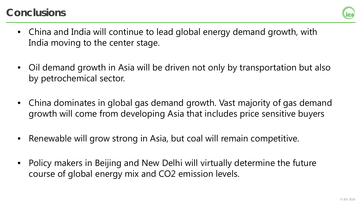### **Conclusions**



- China and India will continue to lead global energy demand growth, with India moving to the center stage.
- Oil demand growth in Asia will be driven not only by transportation but also by petrochemical sector.
- China dominates in global gas demand growth. Vast majority of gas demand growth will come from developing Asia that includes price sensitive buyers
- Renewable will grow strong in Asia, but coal will remain competitive.
- Policy makers in Beijing and New Delhi will virtually determine the future course of global energy mix and CO2 emission levels.